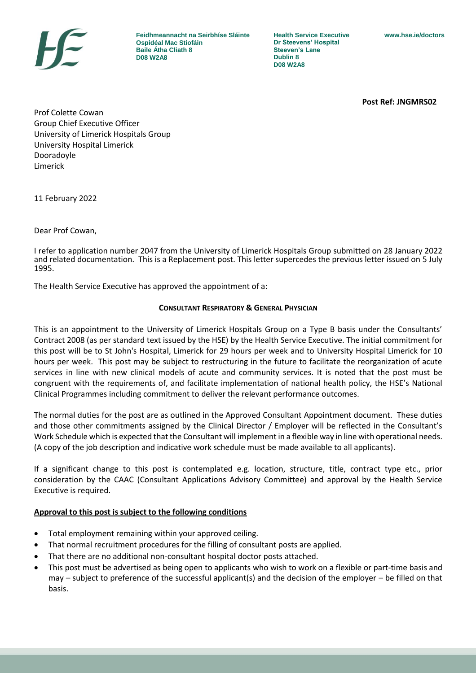

**Feidhmeannacht na Seirbhíse Sláinte Ospidéal Mac Stiofáin Baile Átha Cliath 8 D08 W2A8**

**Health Service Executive Dr Steevens' Hospital Steeven's Lane Dublin 8 D08 W2A8**

**Post Ref: JNGMRS02**

Prof Colette Cowan Group Chief Executive Officer University of Limerick Hospitals Group University Hospital Limerick Dooradoyle Limerick

11 February 2022

Dear Prof Cowan,

I refer to application number 2047 from the University of Limerick Hospitals Group submitted on 28 January 2022 and related documentation. This is a Replacement post. This letter supercedes the previous letter issued on 5 July 1995.

The Health Service Executive has approved the appointment of a:

#### **CONSULTANT RESPIRATORY & GENERAL PHYSICIAN**

This is an appointment to the University of Limerick Hospitals Group on a Type B basis under the Consultants' Contract 2008 (as per standard text issued by the HSE) by the Health Service Executive. The initial commitment for this post will be to St John's Hospital, Limerick for 29 hours per week and to University Hospital Limerick for 10 hours per week. This post may be subject to restructuring in the future to facilitate the reorganization of acute services in line with new clinical models of acute and community services. It is noted that the post must be congruent with the requirements of, and facilitate implementation of national health policy, the HSE's National Clinical Programmes including commitment to deliver the relevant performance outcomes.

The normal duties for the post are as outlined in the Approved Consultant Appointment document. These duties and those other commitments assigned by the Clinical Director / Employer will be reflected in the Consultant's Work Schedule which is expected that the Consultant will implement in a flexible way in line with operational needs. (A copy of the job description and indicative work schedule must be made available to all applicants).

If a significant change to this post is contemplated e.g. location, structure, title, contract type etc., prior consideration by the CAAC (Consultant Applications Advisory Committee) and approval by the Health Service Executive is required.

#### **Approval to this post is subject to the following conditions**

- Total employment remaining within your approved ceiling.
- That normal recruitment procedures for the filling of consultant posts are applied.
- That there are no additional non-consultant hospital doctor posts attached.
- This post must be advertised as being open to applicants who wish to work on a flexible or part-time basis and may – subject to preference of the successful applicant(s) and the decision of the employer – be filled on that basis.